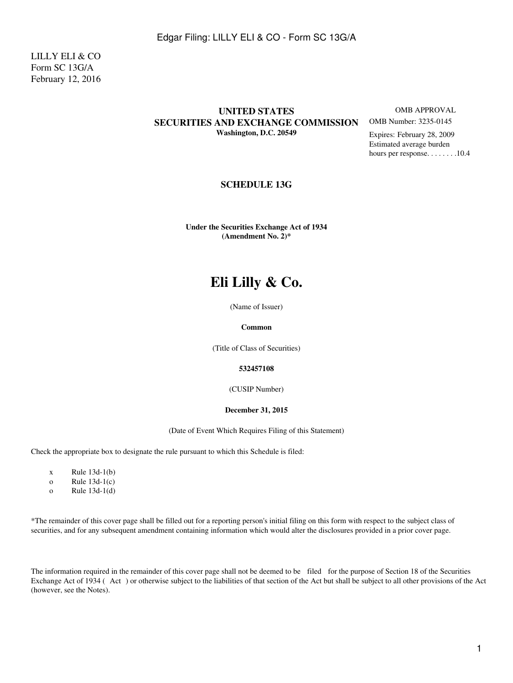LILLY ELI & CO Form SC 13G/A February 12, 2016

### **UNITED STATES** OMB APPROVAL **SECURITIES AND EXCHANGE COMMISSION** OMB Number: 3235-0145 **Washington, D.C. 20549** Expires: February 28, 2009

Estimated average burden hours per response. . . . . . . . . 10.4

### **SCHEDULE 13G**

**Under the Securities Exchange Act of 1934 (Amendment No. 2)\***

# **Eli Lilly & Co.**

(Name of Issuer)

### **Common**

(Title of Class of Securities)

### **532457108**

(CUSIP Number)

### **December 31, 2015**

(Date of Event Which Requires Filing of this Statement)

Check the appropriate box to designate the rule pursuant to which this Schedule is filed:

- $x$  Rule 13d-1(b)
- o Rule 13d-1(c)
- o Rule 13d-1(d)

\*The remainder of this cover page shall be filled out for a reporting person's initial filing on this form with respect to the subject class of securities, and for any subsequent amendment containing information which would alter the disclosures provided in a prior cover page.

The information required in the remainder of this cover page shall not be deemed to be filed for the purpose of Section 18 of the Securities Exchange Act of 1934 (Act) or otherwise subject to the liabilities of that section of the Act but shall be subject to all other provisions of the Act (however, see the Notes).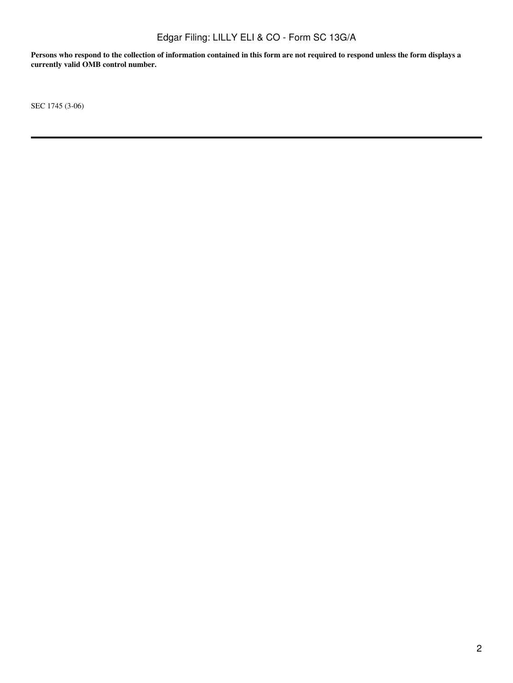**Persons who respond to the collection of information contained in this form are not required to respond unless the form displays a currently valid OMB control number.**

SEC 1745 (3-06)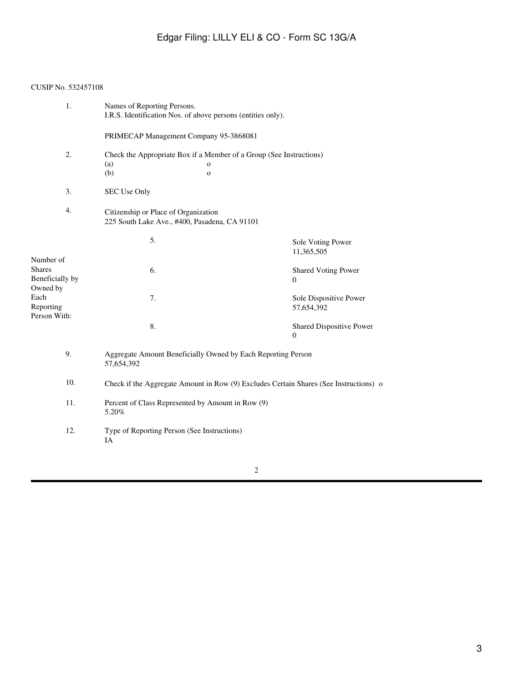### CUSIP No. 532457108

| 1.                                                                                             | Names of Reporting Persons.<br>I.R.S. Identification Nos. of above persons (entities only). |                                                                                                     |                                              |  |  |
|------------------------------------------------------------------------------------------------|---------------------------------------------------------------------------------------------|-----------------------------------------------------------------------------------------------------|----------------------------------------------|--|--|
|                                                                                                | PRIMECAP Management Company 95-3868081                                                      |                                                                                                     |                                              |  |  |
| 2.                                                                                             | (a)<br>(b)                                                                                  | Check the Appropriate Box if a Member of a Group (See Instructions)<br>$\mathbf{o}$<br>$\mathbf{o}$ |                                              |  |  |
| 3.                                                                                             | SEC Use Only                                                                                |                                                                                                     |                                              |  |  |
| 4.                                                                                             | Citizenship or Place of Organization<br>225 South Lake Ave., #400, Pasadena, CA 91101       |                                                                                                     |                                              |  |  |
|                                                                                                | 5.                                                                                          |                                                                                                     | Sole Voting Power<br>11,365,505              |  |  |
| Number of<br><b>Shares</b><br>Beneficially by<br>Owned by<br>Each<br>Reporting<br>Person With: | 6.                                                                                          |                                                                                                     | <b>Shared Voting Power</b><br>$\theta$       |  |  |
|                                                                                                | 7.                                                                                          |                                                                                                     | Sole Dispositive Power<br>57,654,392         |  |  |
|                                                                                                | 8.                                                                                          |                                                                                                     | Shared Dispositive Power<br>$\boldsymbol{0}$ |  |  |
| 9.                                                                                             | Aggregate Amount Beneficially Owned by Each Reporting Person<br>57,654,392                  |                                                                                                     |                                              |  |  |
| 10.                                                                                            | Check if the Aggregate Amount in Row (9) Excludes Certain Shares (See Instructions) o       |                                                                                                     |                                              |  |  |
| 11.                                                                                            | Percent of Class Represented by Amount in Row (9)<br>5.20%                                  |                                                                                                     |                                              |  |  |
| 12.                                                                                            | Type of Reporting Person (See Instructions)<br>IA                                           |                                                                                                     |                                              |  |  |
|                                                                                                |                                                                                             |                                                                                                     |                                              |  |  |

2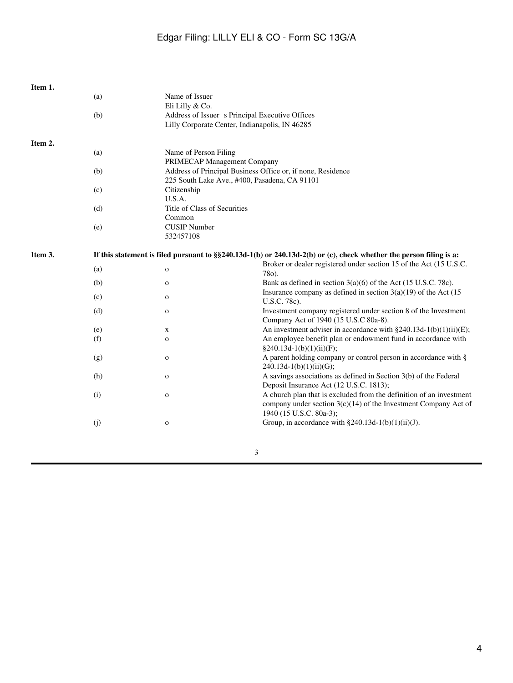| Item 1. |                                                                                                                        |                                                                                                   |                                                                                                                     |  |
|---------|------------------------------------------------------------------------------------------------------------------------|---------------------------------------------------------------------------------------------------|---------------------------------------------------------------------------------------------------------------------|--|
|         | (a)                                                                                                                    | Name of Issuer<br>Eli Lilly & Co.                                                                 |                                                                                                                     |  |
|         | (b)                                                                                                                    | Address of Issuer s Principal Executive Offices<br>Lilly Corporate Center, Indianapolis, IN 46285 |                                                                                                                     |  |
|         |                                                                                                                        |                                                                                                   |                                                                                                                     |  |
| Item 2. |                                                                                                                        |                                                                                                   |                                                                                                                     |  |
|         | (a)                                                                                                                    |                                                                                                   | Name of Person Filing<br>PRIMECAP Management Company<br>Address of Principal Business Office or, if none, Residence |  |
|         |                                                                                                                        |                                                                                                   |                                                                                                                     |  |
|         | (b)                                                                                                                    |                                                                                                   | 225 South Lake Ave., #400, Pasadena, CA 91101                                                                       |  |
|         |                                                                                                                        |                                                                                                   |                                                                                                                     |  |
|         | (c)                                                                                                                    | U.S.A.                                                                                            | Citizenship                                                                                                         |  |
|         | (d)                                                                                                                    | Title of Class of Securities                                                                      |                                                                                                                     |  |
|         |                                                                                                                        | Common                                                                                            |                                                                                                                     |  |
|         | (e)                                                                                                                    | <b>CUSIP</b> Number                                                                               |                                                                                                                     |  |
|         |                                                                                                                        | 532457108                                                                                         |                                                                                                                     |  |
|         |                                                                                                                        |                                                                                                   |                                                                                                                     |  |
| Item 3. | If this statement is filed pursuant to $\S$ 240.13d-1(b) or 240.13d-2(b) or (c), check whether the person filing is a: |                                                                                                   |                                                                                                                     |  |
|         |                                                                                                                        |                                                                                                   | Broker or dealer registered under section 15 of the Act (15 U.S.C.                                                  |  |
|         | (a)                                                                                                                    | $\mathbf{o}$                                                                                      | 78o).                                                                                                               |  |
|         | (b)                                                                                                                    | $\mathbf 0$                                                                                       | Bank as defined in section $3(a)(6)$ of the Act (15 U.S.C. 78c).                                                    |  |
|         |                                                                                                                        |                                                                                                   | Insurance company as defined in section $3(a)(19)$ of the Act (15                                                   |  |
|         | (c)                                                                                                                    | $\mathbf O$                                                                                       | U.S.C. 78c).                                                                                                        |  |
|         | (d)                                                                                                                    | $\mathbf O$                                                                                       | Investment company registered under section 8 of the Investment                                                     |  |
|         |                                                                                                                        |                                                                                                   | Company Act of 1940 (15 U.S.C 80a-8).                                                                               |  |
|         | (e)                                                                                                                    | X                                                                                                 | An investment adviser in accordance with $\S 240.13d-1(b)(1)(ii)(E)$ ;                                              |  |
|         | (f)                                                                                                                    | $\mathbf{o}$                                                                                      | An employee benefit plan or endowment fund in accordance with                                                       |  |
|         |                                                                                                                        |                                                                                                   | $§240.13d-1(b)(1)(ii)(F);$                                                                                          |  |
|         | (g)                                                                                                                    | $\mathbf 0$                                                                                       | A parent holding company or control person in accordance with §                                                     |  |
|         |                                                                                                                        |                                                                                                   | $240.13d-1(b)(1)(ii)(G);$                                                                                           |  |
|         | (h)                                                                                                                    | $\mathbf{o}$                                                                                      | A savings associations as defined in Section 3(b) of the Federal                                                    |  |
|         |                                                                                                                        |                                                                                                   | Deposit Insurance Act (12 U.S.C. 1813);                                                                             |  |
|         | (i)                                                                                                                    | $\mathbf O$                                                                                       | A church plan that is excluded from the definition of an investment                                                 |  |
|         |                                                                                                                        |                                                                                                   | company under section $3(c)(14)$ of the Investment Company Act of                                                   |  |
|         |                                                                                                                        |                                                                                                   | 1940 (15 U.S.C. 80a-3);                                                                                             |  |
|         | (j)                                                                                                                    | $\mathbf 0$                                                                                       | Group, in accordance with $\S 240.13d-1(b)(1)(ii)(J)$ .                                                             |  |
|         |                                                                                                                        |                                                                                                   |                                                                                                                     |  |
|         |                                                                                                                        |                                                                                                   | $\mathbf{a}$                                                                                                        |  |
|         |                                                                                                                        |                                                                                                   |                                                                                                                     |  |

3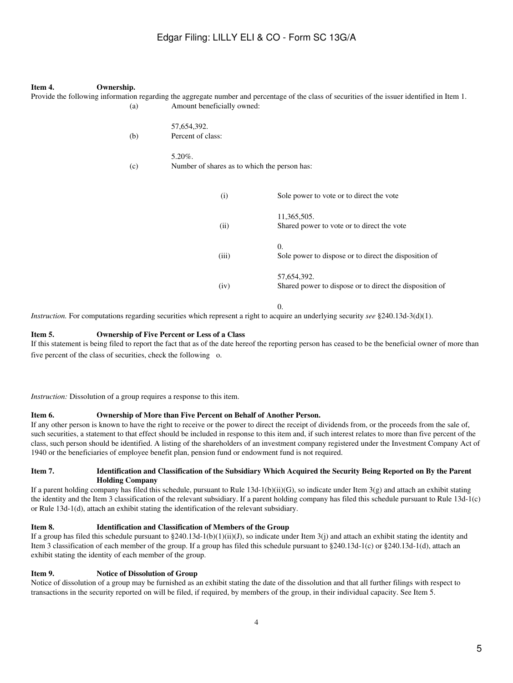#### **Item 4. Ownership.**

Provide the following information regarding the aggregate number and percentage of the class of securities of the issuer identified in Item 1. (a) Amount beneficially owned: 57,654,392. (b) Percent of class: 5.20%. (c) Number of shares as to which the person has: (i) Sole power to vote or to direct the vote 11,365,505. (ii) Shared power to vote or to direct the vote 0. (iii) Sole power to dispose or to direct the disposition of 57,654,392. (iv) Shared power to dispose or to direct the disposition of  $\Omega$ .

*Instruction.* For computations regarding securities which represent a right to acquire an underlying security *see* §240.13d-3(d)(1).

#### **Item 5. Ownership of Five Percent or Less of a Class**

If this statement is being filed to report the fact that as of the date hereof the reporting person has ceased to be the beneficial owner of more than five percent of the class of securities, check the following o.

*Instruction:* Dissolution of a group requires a response to this item.

#### **Item 6. Ownership of More than Five Percent on Behalf of Another Person.**

If any other person is known to have the right to receive or the power to direct the receipt of dividends from, or the proceeds from the sale of, such securities, a statement to that effect should be included in response to this item and, if such interest relates to more than five percent of the class, such person should be identified. A listing of the shareholders of an investment company registered under the Investment Company Act of 1940 or the beneficiaries of employee benefit plan, pension fund or endowment fund is not required.

#### **Item 7. Identification and Classification of the Subsidiary Which Acquired the Security Being Reported on By the Parent Holding Company**

If a parent holding company has filed this schedule, pursuant to Rule 13d-1(b)(ii)(G), so indicate under Item  $3(g)$  and attach an exhibit stating the identity and the Item 3 classification of the relevant subsidiary. If a parent holding company has filed this schedule pursuant to Rule 13d-1(c) or Rule 13d-1(d), attach an exhibit stating the identification of the relevant subsidiary.

#### **Item 8. Identification and Classification of Members of the Group**

If a group has filed this schedule pursuant to §240.13d-1(b)(1)(ii)(J), so indicate under Item 3(j) and attach an exhibit stating the identity and Item 3 classification of each member of the group. If a group has filed this schedule pursuant to §240.13d-1(c) or §240.13d-1(d), attach an exhibit stating the identity of each member of the group.

#### **Item 9. Notice of Dissolution of Group**

Notice of dissolution of a group may be furnished as an exhibit stating the date of the dissolution and that all further filings with respect to transactions in the security reported on will be filed, if required, by members of the group, in their individual capacity. See Item 5.